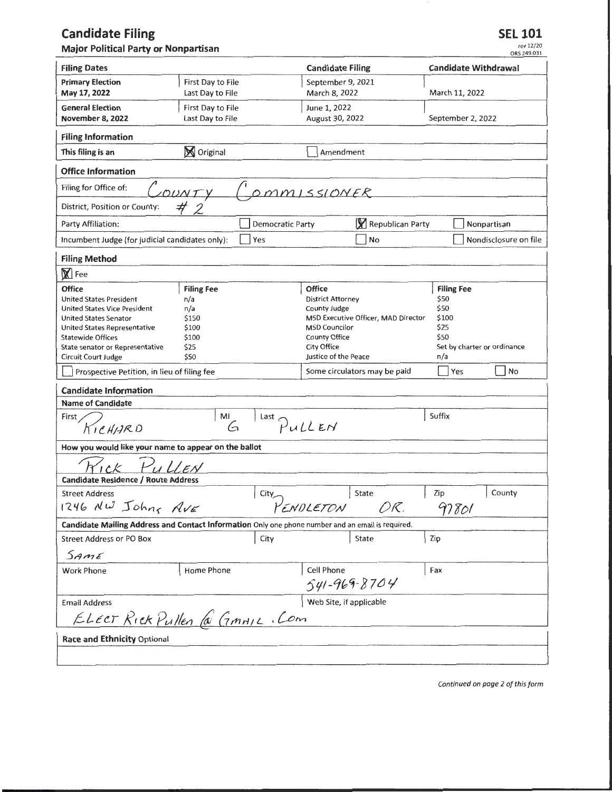## **Candidate Filing**

**Major Political Party or Nonpartisan** 

**SEL 101** 

rev 12/20 ORS 249.031

| <b>Filing Dates</b>                                                                               |                   | <b>Candidate Filing</b>                                     | <b>Candidate Withdrawal</b> |
|---------------------------------------------------------------------------------------------------|-------------------|-------------------------------------------------------------|-----------------------------|
| <b>Primary Election</b>                                                                           | First Day to File | September 9, 2021                                           |                             |
| May 17, 2022                                                                                      | Last Day to File  | March 8, 2022                                               | March 11, 2022              |
| <b>General Election</b>                                                                           | First Day to File | June 1, 2022                                                |                             |
| November 8, 2022                                                                                  | Last Day to File  | August 30, 2022                                             | September 2, 2022           |
| <b>Filing Information</b>                                                                         |                   |                                                             |                             |
| This filing is an                                                                                 | <b>S</b> Original | Amendment                                                   |                             |
| <b>Office Information</b>                                                                         |                   |                                                             |                             |
| Filing for Office of:<br>OMMISSIONER<br>COUNTY                                                    |                   |                                                             |                             |
| #<br>District, Position or County:                                                                |                   |                                                             |                             |
| Party Affiliation:                                                                                | Democratic Party  | Republican Party                                            | Nonpartisan                 |
| Incumbent Judge (for judicial candidates only):                                                   | Yes               | No                                                          | Nondisclosure on file       |
| <b>Filing Method</b>                                                                              |                   |                                                             |                             |
| $\mathbb{X}$ Fee                                                                                  |                   |                                                             |                             |
| <b>Office</b>                                                                                     | <b>Filing Fee</b> | <b>Office</b>                                               | <b>Filing Fee</b>           |
| <b>United States President</b>                                                                    | n/a               | <b>District Attorney</b>                                    | \$50                        |
| <b>United States Vice President</b>                                                               | n/a               | County Judge                                                | \$50<br>\$100               |
| <b>United States Senator</b><br>United States Representative                                      | \$150<br>\$100    | MSD Executive Officer, MAD Director<br><b>MSD Councilor</b> | \$25                        |
| <b>Statewide Offices</b>                                                                          | \$100             | <b>County Office</b>                                        | \$50                        |
| State senator or Representative                                                                   | \$25              | <b>City Office</b>                                          | Set by charter or ordinance |
| Circuit Court Judge                                                                               | \$50              | Justice of the Peace                                        | n/a                         |
| Prospective Petition, in lieu of filing fee                                                       |                   | Some circulators may be paid                                | No<br>Yes                   |
| <b>Candidate Information</b>                                                                      |                   |                                                             |                             |
| <b>Name of Candidate</b>                                                                          |                   |                                                             |                             |
| First                                                                                             | MI                |                                                             | Suffix                      |
| $\bigcap_{k=1}^{k}$<br>KICHARD<br>G                                                               |                   |                                                             |                             |
| How you would like your name to appear on the ballot                                              |                   |                                                             |                             |
| $E$ N                                                                                             |                   |                                                             |                             |
| <b>Candidate Residence / Route Address</b>                                                        |                   |                                                             |                             |
| <b>Street Address</b>                                                                             | City_             | State                                                       | Zip<br>County               |
| 1246 NW Johns AVE                                                                                 |                   | つに.<br>PENDLETON                                            | 97801                       |
| Candidate Mailing Address and Contact Information Only one phone number and an email is required. |                   |                                                             |                             |
| <b>Street Address or PO Box</b>                                                                   | City              | <b>State</b>                                                | Zip                         |
| Same                                                                                              |                   |                                                             |                             |
| <b>Work Phone</b>                                                                                 | Home Phone        | Cell Phone                                                  | Fax                         |
|                                                                                                   |                   | 541-969-8704                                                |                             |
| Web Site, if applicable<br><b>Email Address</b>                                                   |                   |                                                             |                             |
| ELECT Rick Pullen @ GMAIL. Com                                                                    |                   |                                                             |                             |
| Race and Ethnicity Optional                                                                       |                   |                                                             |                             |
|                                                                                                   |                   |                                                             |                             |
|                                                                                                   |                   |                                                             |                             |

*Continued on page 2 of this form*